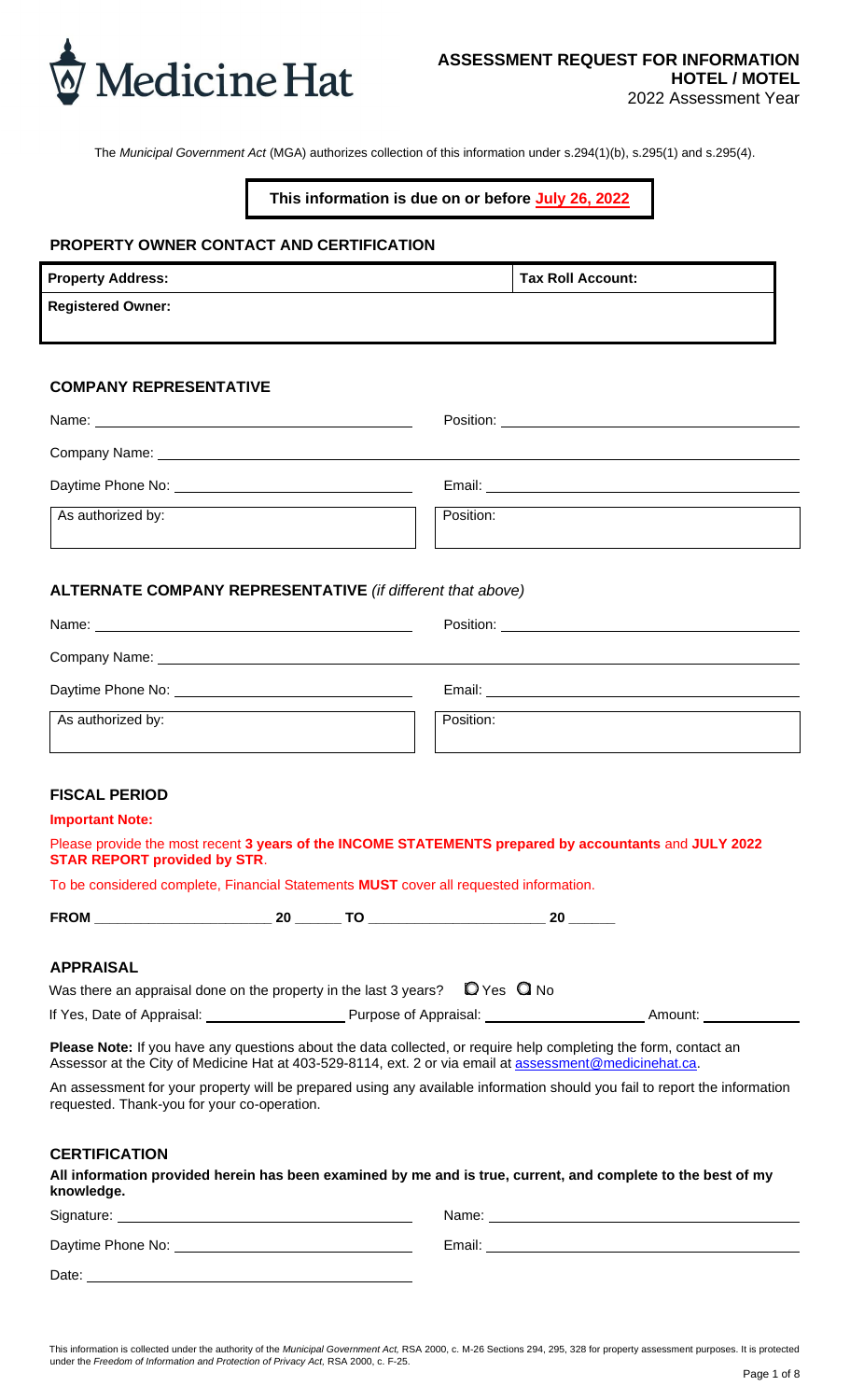

The *Municipal Government Act* (MGA) authorizes collection of this information under s.294(1)(b), s.295(1) and s.295(4).

#### **This information is due on or before July 26, 2022**

#### **PROPERTY OWNER CONTACT AND CERTIFICATION**

| <b>Property Address:</b> | <b>Tax Roll Account:</b> |
|--------------------------|--------------------------|
| <b>Registered Owner:</b> |                          |
|                          |                          |

#### **COMPANY REPRESENTATIVE**

|                   | Position: _______________________                                                                                                                                                                                              |
|-------------------|--------------------------------------------------------------------------------------------------------------------------------------------------------------------------------------------------------------------------------|
|                   |                                                                                                                                                                                                                                |
|                   | Email: Email: Email: Email: Email: Email: Email: Email: Email: Email: Email: Email: Email: Email: Email: Email: Email: Email: Email: Email: Email: Email: Email: Email: Email: Email: Email: Email: Email: Email: Email: Email |
| As authorized by: | Position:                                                                                                                                                                                                                      |

#### **ALTERNATE COMPANY REPRESENTATIVE** *(if different that above)*

| Name:<br><u> 1980 - Jan Salam Barat, masjid a shekarar 1980 - André Salam Barat, masjid a shekarar 1980 - André Salam Ba</u> | Position:<br><u> 1980 - Jan Samuel Barbara, margaret e populazion del control del control del control del control de la provi</u>                                                                                              |  |  |
|------------------------------------------------------------------------------------------------------------------------------|--------------------------------------------------------------------------------------------------------------------------------------------------------------------------------------------------------------------------------|--|--|
| Company Name: University of the Company Name:                                                                                |                                                                                                                                                                                                                                |  |  |
| Daytime Phone No: 2008 2012 2022 2023 2024 2022 2022 2023 2024 2022 2023 2024 2022 2023 2024 2022 20                         | Email: Email: All and the state of the state of the state of the state of the state of the state of the state of the state of the state of the state of the state of the state of the state of the state of the state of the s |  |  |
| As authorized by:                                                                                                            | Position:                                                                                                                                                                                                                      |  |  |

#### **FISCAL PERIOD**

#### **Important Note:**

| Please provide the most recent 3 years of the INCOME STATEMENTS prepared by accountants and JULY 2022 |  |
|-------------------------------------------------------------------------------------------------------|--|
| <b>STAR REPORT provided by STR.</b>                                                                   |  |

To be considered complete, Financial Statements **MUST** cover all requested information.

| ----- | . . |  |
|-------|-----|--|
|       |     |  |

#### **APPRAISAL**

| Was there an appraisal done on the property in the last 3 years? | $\mathsf{Q}$ Yes $\mathsf{Q}$ No |         |
|------------------------------------------------------------------|----------------------------------|---------|
| If Yes, Date of Appraisal:                                       | Purpose of Appraisal:            | Amount: |

**Please Note:** If you have any questions about the data collected, or require help completing the form, contact an Assessor at the City of Medicine Hat at 403-529-8114, ext. 2 or via email at [assessment@medicinehat.ca.](mailto:assessment@medicinehat.ca)

An assessment for your property will be prepared using any available information should you fail to report the information requested. Thank-you for your co-operation.

#### **CERTIFICATION**

**All information provided herein has been examined by me and is true, current, and complete to the best of my knowledge.**

| Signature:        | Name:  |
|-------------------|--------|
| Daytime Phone No: | Email: |
| Date:             |        |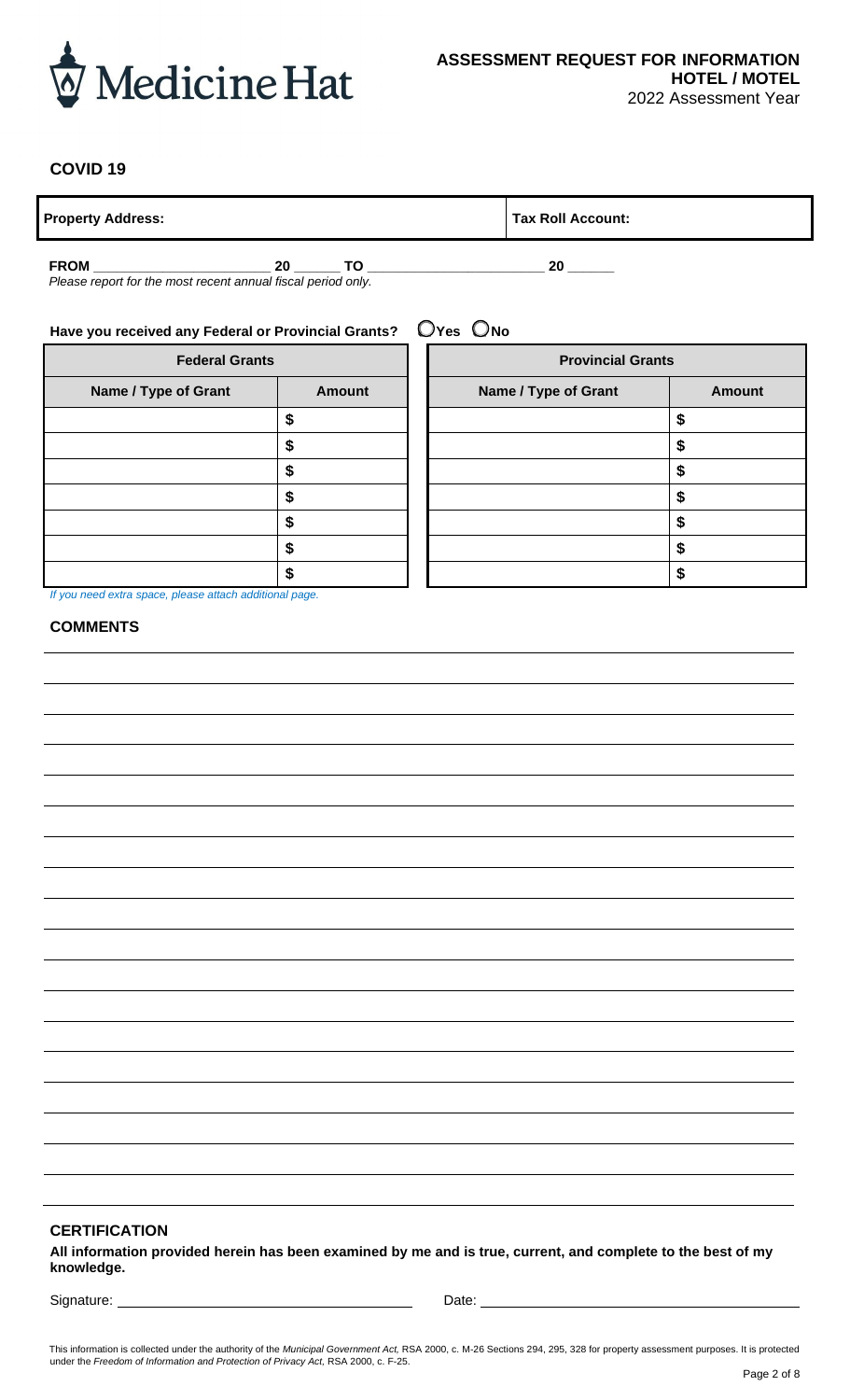

### **COVID 19**

**Property Address: Tax Roll Account:** 

**FROM \_\_\_\_\_\_\_\_\_\_\_\_\_\_\_\_\_\_\_\_\_\_\_ 20 \_\_\_\_\_\_ TO \_\_\_\_\_\_\_\_\_\_\_\_\_\_\_\_\_\_\_\_\_\_\_ 20 \_\_\_\_\_\_** *Please report for the most recent annual fiscal period only.*

# **Have you received any Federal or Provincial Grants?** ❑ **Yes** ❑ **No**

| <b>Federal Grants</b>                                                    |  |  |  |  |  |
|--------------------------------------------------------------------------|--|--|--|--|--|
| Name / Type of Grant<br><b>Amount</b>                                    |  |  |  |  |  |
| \$                                                                       |  |  |  |  |  |
| \$                                                                       |  |  |  |  |  |
| \$                                                                       |  |  |  |  |  |
| \$                                                                       |  |  |  |  |  |
| \$                                                                       |  |  |  |  |  |
| \$                                                                       |  |  |  |  |  |
| S                                                                        |  |  |  |  |  |
| 16 years are not instance in more in the basic model of the most are not |  |  |  |  |  |

| <b>Federal Grants</b><br>Name / Type of Grant<br><b>Amount</b> |        | <b>Provincial Grants</b> |               |  |  |
|----------------------------------------------------------------|--------|--------------------------|---------------|--|--|
|                                                                |        | Name / Type of Grant     | <b>Amount</b> |  |  |
|                                                                | œ<br>æ |                          |               |  |  |
|                                                                |        |                          |               |  |  |
|                                                                | S      |                          |               |  |  |
|                                                                | \$     |                          |               |  |  |
|                                                                | \$     |                          |               |  |  |
|                                                                | \$     |                          |               |  |  |
|                                                                | S      |                          |               |  |  |

*If you need extra space, please attach additional page.*

#### **COMMENTS**

#### **CERTIFICATION**

**All information provided herein has been examined by me and is true, current, and complete to the best of my knowledge.**

Signature: <u>Conservation Communications</u> Conservation Conservation Conservation Conservation Conservation Conservation Conservation Conservation Conservation Conservation Conservation Conservation Conservation Conservation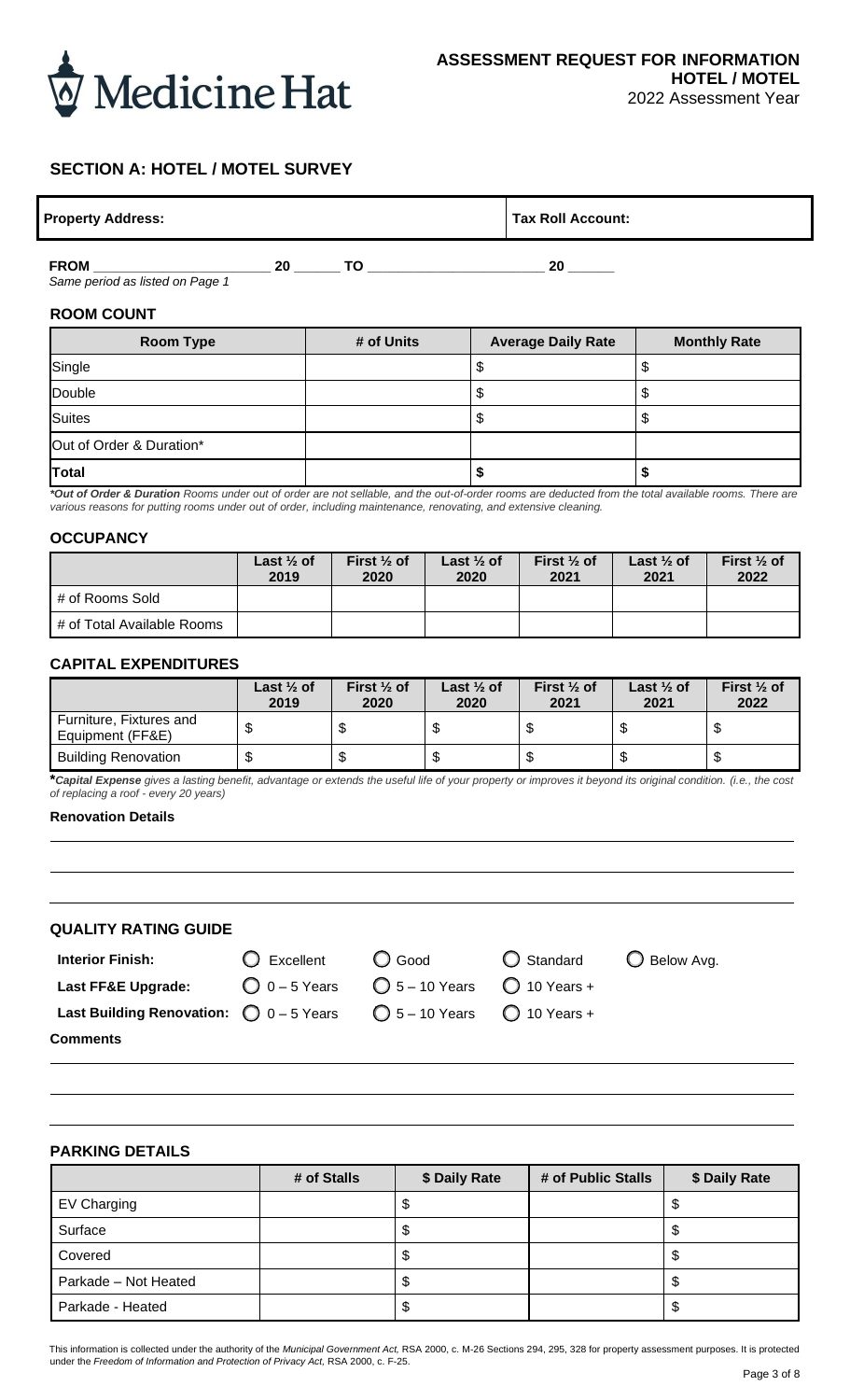

# **SECTION A: HOTEL / MOTEL SURVEY**

| <b>Property Address:</b> | Tax Roll Account: |
|--------------------------|-------------------|
|                          |                   |

**FROM \_\_\_\_\_\_\_\_\_\_\_\_\_\_\_\_\_\_\_\_\_\_\_ 20 \_\_\_\_\_\_ TO \_\_\_\_\_\_\_\_\_\_\_\_\_\_\_\_\_\_\_\_\_\_\_ 20 \_\_\_\_\_\_** *Same period as listed on Page 1*

#### **ROOM COUNT**

| <b>Room Type</b>         | # of Units | <b>Average Daily Rate</b> | <b>Monthly Rate</b> |
|--------------------------|------------|---------------------------|---------------------|
| Single                   |            |                           |                     |
| Double                   |            | Ψ                         |                     |
| Suites                   |            | ۰υ                        |                     |
| Out of Order & Duration* |            |                           |                     |
| Total                    |            |                           |                     |

*\*Out of Order & Duration Rooms under out of order are not sellable, and the out-of-order rooms are deducted from the total available rooms. There are various reasons for putting rooms under out of order, including maintenance, renovating, and extensive cleaning.*

#### **OCCUPANCY**

|                            | Last $\frac{1}{2}$ of<br>2019 | First $\frac{1}{2}$ of<br>2020 | Last $\frac{1}{2}$ of<br>2020 | First $\frac{1}{2}$ of<br>2021 | Last $\frac{1}{2}$ of<br>2021 | First $\frac{1}{2}$ of<br>2022 |
|----------------------------|-------------------------------|--------------------------------|-------------------------------|--------------------------------|-------------------------------|--------------------------------|
| # of Rooms Sold            |                               |                                |                               |                                |                               |                                |
| # of Total Available Rooms |                               |                                |                               |                                |                               |                                |

#### **CAPITAL EXPENDITURES**

|                                             | Last $\frac{1}{2}$ of<br>2019 | First $\frac{1}{2}$ of<br>2020 | Last $\frac{1}{2}$ of<br>2020 | First $\frac{1}{2}$ of<br>2021 | Last $\frac{1}{2}$ of<br>2021 | First $\frac{1}{2}$ of<br>2022 |
|---------------------------------------------|-------------------------------|--------------------------------|-------------------------------|--------------------------------|-------------------------------|--------------------------------|
| Furniture, Fixtures and<br>Equipment (FF&E) |                               | ۰D                             | - J.D                         |                                |                               |                                |
| <b>Building Renovation</b>                  |                               |                                | ѡ                             |                                |                               |                                |

**\****Capital Expense gives a lasting benefit, advantage or extends the useful life of your property or improves it beyond its original condition. (i.e., the cost of replacing a roof - every 20 years)*

#### **Renovation Details**

| <b>QUALITY RATING GUIDE</b> |  |
|-----------------------------|--|
|-----------------------------|--|

- Last FF&E Upgrade:  $\bigcirc$  0 5 Years  $\bigcirc$  5 10 Years  $\bigcirc$  10 Years +
	-
- 

**Interior Finish:** ❑ Excellent ❑ Good ❑ Standard ❑ Below Avg.

**Comments**

Last Building Renovation:  $\bigcirc$  0 – 5 Years  $\bigcirc$  5 – 10 Years  $\bigcirc$  10 Years +

# **PARKING DETAILS**

|                      | # of Stalls | \$ Daily Rate | # of Public Stalls | \$ Daily Rate |
|----------------------|-------------|---------------|--------------------|---------------|
| EV Charging          |             |               |                    |               |
| Surface              |             |               |                    | Φ             |
| Covered              |             | Ψ             |                    | จ             |
| Parkade - Not Heated |             |               |                    | จ             |
| Parkade - Heated     |             | Φ             |                    | จ             |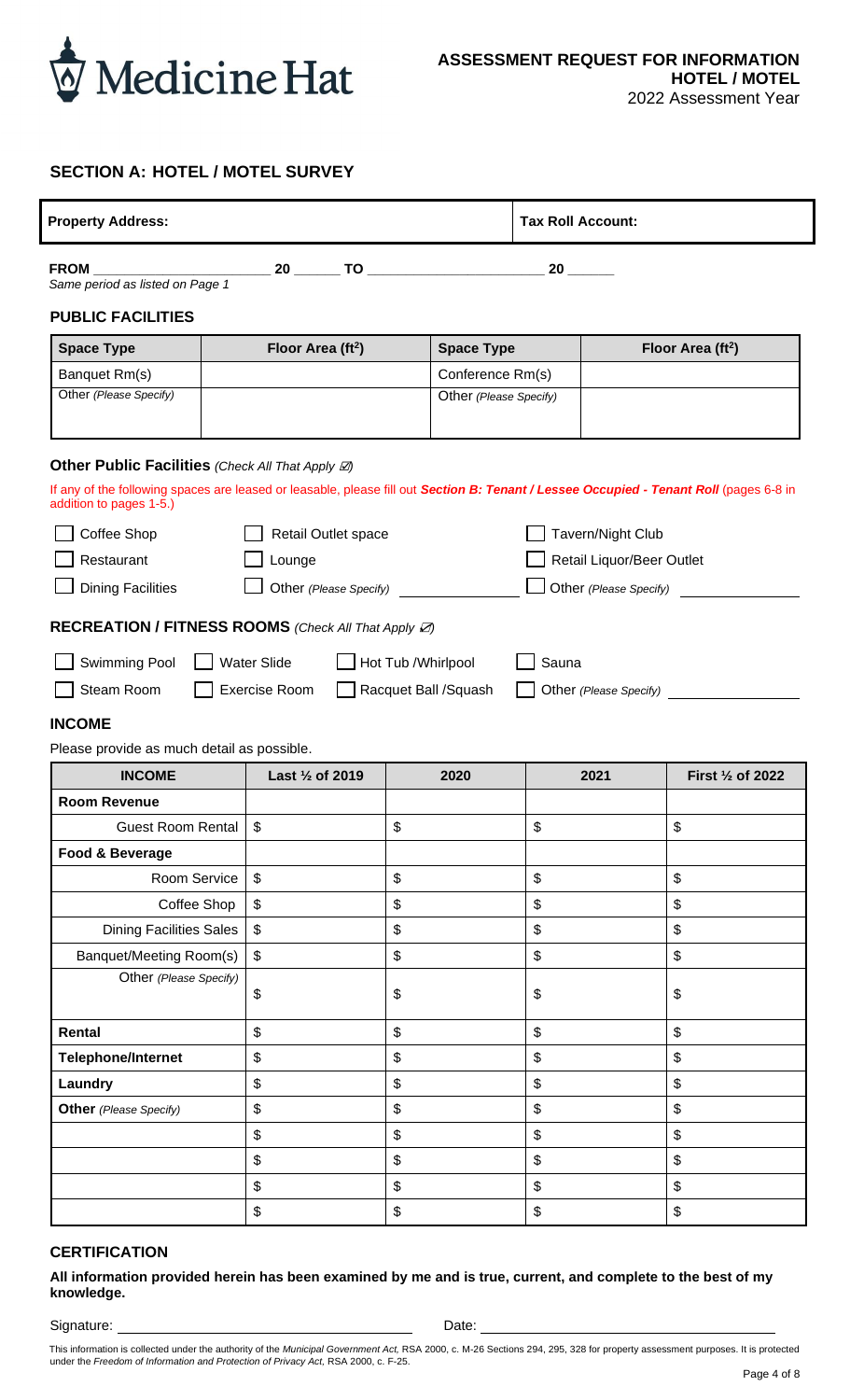

# **SECTION A: HOTEL / MOTEL SURVEY**

| <b>Tax Roll Account:</b><br><b>Property Address:</b>                                                                                                              |                               |                        |                           |                   |                               |  |  |  |  |
|-------------------------------------------------------------------------------------------------------------------------------------------------------------------|-------------------------------|------------------------|---------------------------|-------------------|-------------------------------|--|--|--|--|
| <b>FROM</b><br>Same period as listed on Page 1                                                                                                                    |                               |                        |                           |                   |                               |  |  |  |  |
| <b>PUBLIC FACILITIES</b>                                                                                                                                          |                               |                        |                           |                   |                               |  |  |  |  |
| <b>Space Type</b>                                                                                                                                                 | Floor Area (ft <sup>2</sup> ) | <b>Space Type</b>      |                           |                   | Floor Area (ft <sup>2</sup> ) |  |  |  |  |
| Banquet Rm(s)                                                                                                                                                     |                               | Conference Rm(s)       |                           |                   |                               |  |  |  |  |
| Other (Please Specify)                                                                                                                                            |                               | Other (Please Specify) |                           |                   |                               |  |  |  |  |
|                                                                                                                                                                   |                               |                        |                           |                   |                               |  |  |  |  |
| Other Public Facilities (Check All That Apply $\emptyset$ )                                                                                                       |                               |                        |                           |                   |                               |  |  |  |  |
| If any of the following spaces are leased or leasable, please fill out Section B: Tenant / Lessee Occupied - Tenant Roll (pages 6-8 in<br>addition to pages 1-5.) |                               |                        |                           |                   |                               |  |  |  |  |
| Coffee Shop                                                                                                                                                       | Retail Outlet space           |                        |                           | Tavern/Night Club |                               |  |  |  |  |
| Restaurant                                                                                                                                                        | Lounge                        |                        | Retail Liquor/Beer Outlet |                   |                               |  |  |  |  |
| <b>Dining Facilities</b>                                                                                                                                          | Other (Please Specify)        |                        |                           |                   |                               |  |  |  |  |
|                                                                                                                                                                   |                               |                        |                           |                   |                               |  |  |  |  |
| <b>RECREATION / FITNESS ROOMS</b> (Check All That Apply Z)                                                                                                        |                               |                        |                           |                   |                               |  |  |  |  |
| Swimming Pool                                                                                                                                                     | <b>Water Slide</b>            | Hot Tub / Whirlpool    | Sauna                     |                   |                               |  |  |  |  |
| Steam Room                                                                                                                                                        | Exercise Room                 | Racquet Ball /Squash   |                           |                   | Other (Please Specify)        |  |  |  |  |
| <b>INCOME</b>                                                                                                                                                     |                               |                        |                           |                   |                               |  |  |  |  |
| Please provide as much detail as possible.                                                                                                                        |                               |                        |                           |                   |                               |  |  |  |  |
| <b>INCOME</b>                                                                                                                                                     | Last 1/2 of 2019              | 2020                   |                           | 2021              | First 1/2 of 2022             |  |  |  |  |
| <b>Room Revenue</b>                                                                                                                                               |                               |                        |                           |                   |                               |  |  |  |  |
| <b>Guest Room Rental</b>                                                                                                                                          | \$                            | \$                     | \$                        |                   | \$                            |  |  |  |  |
| Food & Beverage                                                                                                                                                   |                               |                        |                           |                   |                               |  |  |  |  |
| Room Service                                                                                                                                                      | \$                            | \$                     | \$                        |                   | \$                            |  |  |  |  |
| Coffee Shop                                                                                                                                                       | \$                            | \$                     | \$                        |                   | \$                            |  |  |  |  |
| <b>Dining Facilities Sales</b>                                                                                                                                    | \$                            | \$                     | \$                        |                   | \$                            |  |  |  |  |
| Banquet/Meeting Room(s)                                                                                                                                           | \$                            | \$                     | \$                        |                   | \$                            |  |  |  |  |
| Other (Please Specify)                                                                                                                                            | \$                            | \$                     | \$                        |                   | \$                            |  |  |  |  |
| Rental                                                                                                                                                            | \$                            | \$                     | \$                        |                   | \$                            |  |  |  |  |
| <b>Telephone/Internet</b>                                                                                                                                         | \$                            | \$                     | \$                        |                   | \$                            |  |  |  |  |

**Laundry** \$ \$ \$ \$ **Other** *(Please Specify)* \$ \$ \$ \$

Signature: Date: Demonstration of the Date:

 $\begin{array}{ccc} \texttt{\$} & \texttt{\$} & \texttt{\$} \end{array} \qquad \qquad \begin{array}{ccc} \texttt{\$} & \texttt{\$} & \texttt{\$} \end{array} \qquad \qquad \begin{array}{ccc} \texttt{\$} & \texttt{\$} & \texttt{\$} \end{array}$  $\begin{array}{ccc} \texttt{\$} & \texttt{\$} & \texttt{\$} \end{array}$  $\begin{array}{ccc} \texttt{\$} & \texttt{\$} & \texttt{\$} \end{array}$  $\begin{array}{ccc} \texttt{\$} & \texttt{\$} & \texttt{\$} \end{array} \qquad \qquad \begin{array}{ccc} \texttt{\$} & \texttt{\$} & \texttt{\$} \end{array} \qquad \qquad \begin{array}{ccc} \texttt{\$} & \texttt{\$} & \texttt{\$} \end{array}$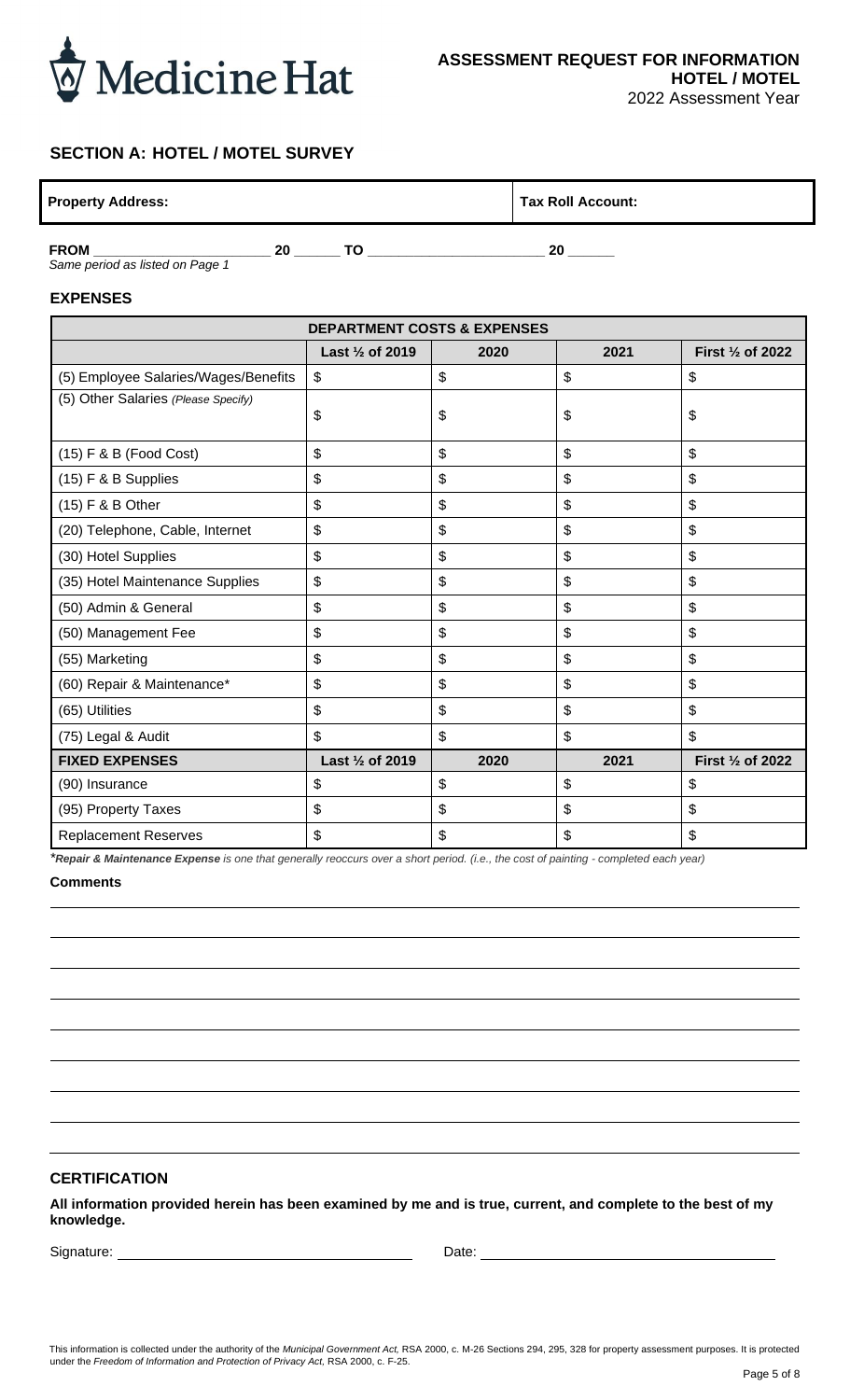

# **SECTION A: HOTEL / MOTEL SURVEY**

| <b>Property Address:</b> |    |  | Tax Roll Account: |  |  |
|--------------------------|----|--|-------------------|--|--|
| <b>FROM</b>              | 20 |  | 20                |  |  |

*Same period as listed on Page 1*

#### **EXPENSES**

| <b>DEPARTMENT COSTS &amp; EXPENSES</b> |                                                                 |      |                           |                   |  |  |  |  |  |
|----------------------------------------|-----------------------------------------------------------------|------|---------------------------|-------------------|--|--|--|--|--|
|                                        | Last 1/2 of 2019<br>2020<br>2021<br>First $\frac{1}{2}$ of 2022 |      |                           |                   |  |  |  |  |  |
| (5) Employee Salaries/Wages/Benefits   | \$                                                              | \$   | \$                        | \$                |  |  |  |  |  |
| (5) Other Salaries (Please Specify)    | \$                                                              | \$   | \$                        | \$                |  |  |  |  |  |
| (15) F & B (Food Cost)                 | \$                                                              | \$   | \$                        | \$                |  |  |  |  |  |
| (15) F & B Supplies                    | \$                                                              | \$   | \$                        | \$                |  |  |  |  |  |
| (15) F & B Other                       | \$                                                              | \$   | \$                        | \$                |  |  |  |  |  |
| (20) Telephone, Cable, Internet        | \$                                                              | \$   | $\boldsymbol{\mathsf{S}}$ | \$                |  |  |  |  |  |
| (30) Hotel Supplies                    | \$                                                              | \$   | \$                        | \$                |  |  |  |  |  |
| (35) Hotel Maintenance Supplies        | \$                                                              | \$   | \$                        | \$                |  |  |  |  |  |
| (50) Admin & General                   | \$                                                              | \$   | \$                        | \$                |  |  |  |  |  |
| (50) Management Fee                    | \$                                                              | \$   | \$                        | \$                |  |  |  |  |  |
| (55) Marketing                         | \$                                                              | \$   | $\boldsymbol{\mathsf{S}}$ | \$                |  |  |  |  |  |
| (60) Repair & Maintenance*             | \$                                                              | \$   | \$                        | \$                |  |  |  |  |  |
| (65) Utilities                         | \$                                                              | \$   | \$                        | \$                |  |  |  |  |  |
| (75) Legal & Audit                     | \$                                                              | \$   | \$                        | \$                |  |  |  |  |  |
| <b>FIXED EXPENSES</b>                  | Last 1/2 of 2019                                                | 2020 | 2021                      | First 1/2 of 2022 |  |  |  |  |  |
| (90) Insurance                         | \$                                                              | \$   | $\boldsymbol{\mathsf{S}}$ | \$                |  |  |  |  |  |
| (95) Property Taxes                    | \$                                                              | \$   | \$                        | \$                |  |  |  |  |  |
| <b>Replacement Reserves</b>            | \$                                                              | \$   | \$                        | \$                |  |  |  |  |  |

*\*Repair & Maintenance Expense is one that generally reoccurs over a short period. (i.e., the cost of painting - completed each year)*

**Comments**

#### **CERTIFICATION**

**All information provided herein has been examined by me and is true, current, and complete to the best of my knowledge.**

Signature: Date: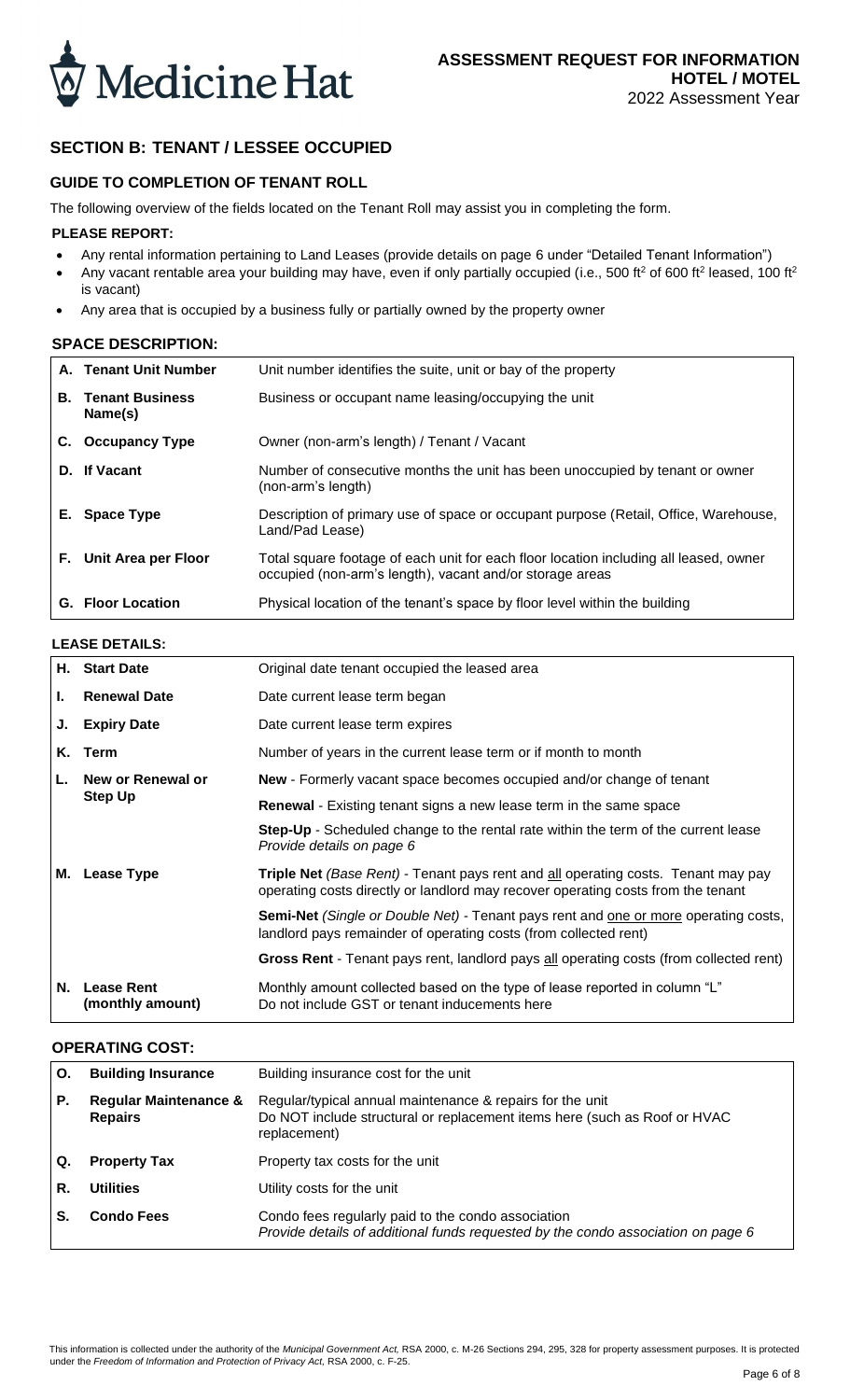

# **SECTION B: TENANT / LESSEE OCCUPIED**

### **GUIDE TO COMPLETION OF TENANT ROLL**

The following overview of the fields located on the Tenant Roll may assist you in completing the form.

#### **PLEASE REPORT:**

- Any rental information pertaining to Land Leases (provide details on page 6 under "Detailed Tenant Information")
- Any vacant rentable area your building may have, even if only partially occupied (i.e., 500 ft<sup>2</sup> of 600 ft<sup>2</sup> leased, 100 ft<sup>2</sup> is vacant)
- Any area that is occupied by a business fully or partially owned by the property owner

#### **SPACE DESCRIPTION:**

|    | A. Tenant Unit Number             | Unit number identifies the suite, unit or bay of the property                                                                                     |
|----|-----------------------------------|---------------------------------------------------------------------------------------------------------------------------------------------------|
| В. | <b>Tenant Business</b><br>Name(s) | Business or occupant name leasing/occupying the unit                                                                                              |
| C. | <b>Occupancy Type</b>             | Owner (non-arm's length) / Tenant / Vacant                                                                                                        |
|    | D. If Vacant                      | Number of consecutive months the unit has been unoccupied by tenant or owner<br>(non-arm's length)                                                |
|    | E. Space Type                     | Description of primary use of space or occupant purpose (Retail, Office, Warehouse,<br>Land/Pad Lease)                                            |
|    | F. Unit Area per Floor            | Total square footage of each unit for each floor location including all leased, owner<br>occupied (non-arm's length), vacant and/or storage areas |
|    | <b>G.</b> Floor Location          | Physical location of the tenant's space by floor level within the building                                                                        |

## **LEASE DETAILS:**

|    | H. Start Date                         | Original date tenant occupied the leased area                                                                                                                         |
|----|---------------------------------------|-----------------------------------------------------------------------------------------------------------------------------------------------------------------------|
| Ъ. | <b>Renewal Date</b>                   | Date current lease term began                                                                                                                                         |
| J. | <b>Expiry Date</b>                    | Date current lease term expires                                                                                                                                       |
| Κ. | Term                                  | Number of years in the current lease term or if month to month                                                                                                        |
|    | New or Renewal or                     | <b>New</b> - Formerly vacant space becomes occupied and/or change of tenant                                                                                           |
|    | <b>Step Up</b>                        | <b>Renewal</b> - Existing tenant signs a new lease term in the same space                                                                                             |
|    |                                       | <b>Step-Up</b> - Scheduled change to the rental rate within the term of the current lease<br>Provide details on page 6                                                |
| м. | Lease Type                            | Triple Net (Base Rent) - Tenant pays rent and all operating costs. Tenant may pay<br>operating costs directly or landlord may recover operating costs from the tenant |
|    |                                       | <b>Semi-Net</b> (Single or Double Net) - Tenant pays rent and one or more operating costs,<br>landlord pays remainder of operating costs (from collected rent)        |
|    |                                       | <b>Gross Rent</b> - Tenant pays rent, landlord pays all operating costs (from collected rent)                                                                         |
| N. | <b>Lease Rent</b><br>(monthly amount) | Monthly amount collected based on the type of lease reported in column "L"<br>Do not include GST or tenant inducements here                                           |

# **OPERATING COST:**

| Ο. | <b>Building Insurance</b>                          | Building insurance cost for the unit                                                                                                                   |  |  |  |
|----|----------------------------------------------------|--------------------------------------------------------------------------------------------------------------------------------------------------------|--|--|--|
| Р. | <b>Regular Maintenance &amp;</b><br><b>Repairs</b> | Regular/typical annual maintenance & repairs for the unit<br>Do NOT include structural or replacement items here (such as Roof or HVAC<br>replacement) |  |  |  |
| Q. | <b>Property Tax</b>                                | Property tax costs for the unit                                                                                                                        |  |  |  |
| R. | <b>Utilities</b>                                   | Utility costs for the unit                                                                                                                             |  |  |  |
| S. | <b>Condo Fees</b>                                  | Condo fees regularly paid to the condo association<br>Provide details of additional funds requested by the condo association on page 6                 |  |  |  |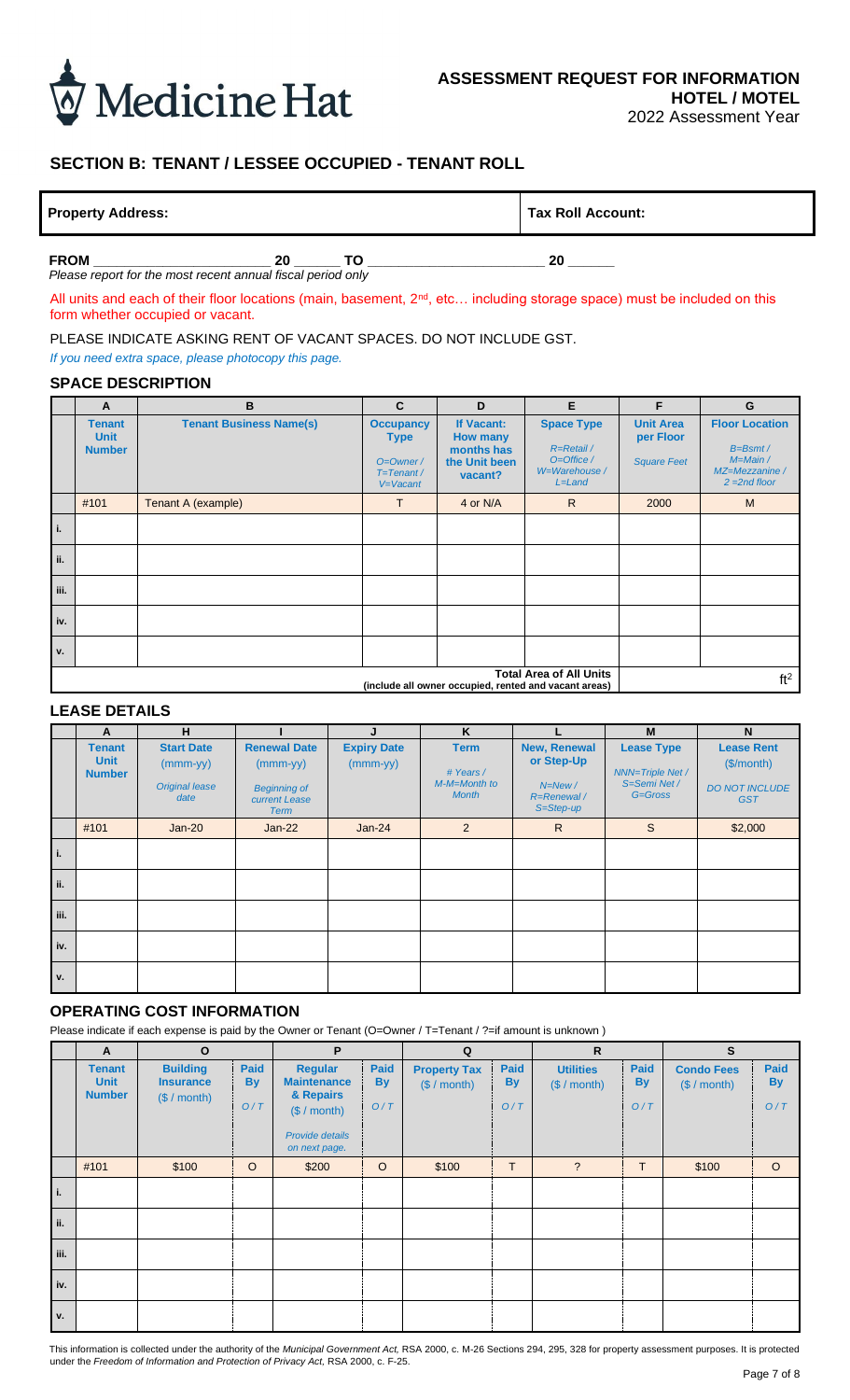

# **SECTION B: TENANT / LESSEE OCCUPIED - TENANT ROLL**

|  | <b>Property Address:</b> |
|--|--------------------------|

**Tax Roll Account:** 

**FROM \_\_\_\_\_\_\_\_\_\_\_\_\_\_\_\_\_\_\_\_\_\_\_ 20 \_\_\_\_\_\_ TO \_\_\_\_\_\_\_\_\_\_\_\_\_\_\_\_\_\_\_\_\_\_\_ 20 \_\_\_\_\_\_** *Please report for the most recent annual fiscal period only*

All units and each of their floor locations (main, basement, 2<sup>nd</sup>, etc... including storage space) must be included on this form whether occupied or vacant.

PLEASE INDICATE ASKING RENT OF VACANT SPACES. DO NOT INCLUDE GST.

*If you need extra space, please photocopy this page.*

#### **SPACE DESCRIPTION**

|             | A                                                                                       | B                              | $\mathbf{C}$                                                                   | D                                                                       | E                                                                                        | F                                                   | G                                                                                       |
|-------------|-----------------------------------------------------------------------------------------|--------------------------------|--------------------------------------------------------------------------------|-------------------------------------------------------------------------|------------------------------------------------------------------------------------------|-----------------------------------------------------|-----------------------------------------------------------------------------------------|
|             | <b>Tenant</b><br><b>Unit</b><br><b>Number</b>                                           | <b>Tenant Business Name(s)</b> | <b>Occupancy</b><br><b>Type</b><br>$O=O$ wner /<br>$T = T$ enant /<br>V=Vacant | If Vacant:<br><b>How many</b><br>months has<br>the Unit been<br>vacant? | <b>Space Type</b><br>R=Retail /<br>$O = \text{Office } /$<br>W=Warehouse /<br>$L = Land$ | <b>Unit Area</b><br>per Floor<br><b>Square Feet</b> | <b>Floor Location</b><br>$B=BSmt/$<br>$M = Main /$<br>MZ=Mezzanine /<br>$2 = 2nd floor$ |
|             | #101                                                                                    | Tenant A (example)             | T.                                                                             | 4 or N/A                                                                | R.                                                                                       | 2000                                                | M                                                                                       |
| i.          |                                                                                         |                                |                                                                                |                                                                         |                                                                                          |                                                     |                                                                                         |
| ii.         |                                                                                         |                                |                                                                                |                                                                         |                                                                                          |                                                     |                                                                                         |
| iii.        |                                                                                         |                                |                                                                                |                                                                         |                                                                                          |                                                     |                                                                                         |
| iv.         |                                                                                         |                                |                                                                                |                                                                         |                                                                                          |                                                     |                                                                                         |
| $V_{\star}$ |                                                                                         |                                |                                                                                |                                                                         |                                                                                          |                                                     |                                                                                         |
|             | <b>Total Area of All Units</b><br>(include all owner occupied, rented and vacant areas) |                                |                                                                                |                                                                         |                                                                                          |                                                     | ft <sup>2</sup>                                                                         |

#### **LEASE DETAILS**

|      | A                                             | H                                                                |                                                                                          |                                  | K                                                        |                                                                      | M                                                                                       | N                                                                     |
|------|-----------------------------------------------|------------------------------------------------------------------|------------------------------------------------------------------------------------------|----------------------------------|----------------------------------------------------------|----------------------------------------------------------------------|-----------------------------------------------------------------------------------------|-----------------------------------------------------------------------|
|      | <b>Tenant</b><br><b>Unit</b><br><b>Number</b> | <b>Start Date</b><br>$(mmm-yy)$<br><b>Original lease</b><br>date | <b>Renewal Date</b><br>$(mmm-yy)$<br><b>Beginning of</b><br>current Lease<br><b>Term</b> | <b>Expiry Date</b><br>$(mmm-yy)$ | <b>Term</b><br># Years /<br>M-M=Month to<br><b>Month</b> | New, Renewal<br>or Step-Up<br>$N = New/$<br>R=Renewal /<br>S=Step-up | <b>Lease Type</b><br><b>NNN=Triple Net /</b><br>S=Semi Net /<br>$G = G \, \text{cross}$ | <b>Lease Rent</b><br>(S/month)<br><b>DO NOT INCLUDE</b><br><b>GST</b> |
|      | #101                                          | $Jan-20$                                                         | $Jan-22$                                                                                 | $Jan-24$                         | $\overline{2}$                                           | $\mathsf{R}$                                                         | S                                                                                       | \$2,000                                                               |
| i.   |                                               |                                                                  |                                                                                          |                                  |                                                          |                                                                      |                                                                                         |                                                                       |
| ii.  |                                               |                                                                  |                                                                                          |                                  |                                                          |                                                                      |                                                                                         |                                                                       |
| iii. |                                               |                                                                  |                                                                                          |                                  |                                                          |                                                                      |                                                                                         |                                                                       |
| iv.  |                                               |                                                                  |                                                                                          |                                  |                                                          |                                                                      |                                                                                         |                                                                       |
| v.   |                                               |                                                                  |                                                                                          |                                  |                                                          |                                                                      |                                                                                         |                                                                       |

### **OPERATING COST INFORMATION**

Please indicate if each expense is paid by the Owner or Tenant (O=Owner / T=Tenant / ?=if amount is unknown)

|      | A                                             | $\mathbf{o}$                                        |                          | P                                                                                                     |                                 | Q                                   |                   | $\mathsf{R}$                     |                                 | $\mathbf{s}$                     |                                 |
|------|-----------------------------------------------|-----------------------------------------------------|--------------------------|-------------------------------------------------------------------------------------------------------|---------------------------------|-------------------------------------|-------------------|----------------------------------|---------------------------------|----------------------------------|---------------------------------|
|      | <b>Tenant</b><br><b>Unit</b><br><b>Number</b> | <b>Building</b><br><b>Insurance</b><br>(\$ / month) | Paid<br><b>By</b><br>O/T | <b>Regular</b><br><b>Maintenance</b><br>& Repairs<br>(\$ / month)<br>Provide details<br>on next page. | <b>Paid</b><br><b>By</b><br>O/T | <b>Property Tax</b><br>(\$ / month) | Paid<br>By<br>O/T | <b>Utilities</b><br>(\$ / month) | <b>Paid</b><br><b>By</b><br>O/T | <b>Condo Fees</b><br>(S / month) | <b>Paid</b><br><b>By</b><br>O/T |
|      | #101                                          | \$100                                               | $\circ$                  | \$200                                                                                                 | $\circ$                         | \$100                               | T                 | $\overline{?}$                   | T                               | \$100                            | $\circ$                         |
| i.   |                                               |                                                     |                          |                                                                                                       |                                 |                                     |                   |                                  |                                 |                                  |                                 |
| ii.  |                                               |                                                     |                          |                                                                                                       |                                 |                                     |                   |                                  |                                 |                                  |                                 |
| iii. |                                               |                                                     |                          |                                                                                                       |                                 |                                     |                   |                                  |                                 |                                  |                                 |
| iv.  |                                               |                                                     |                          |                                                                                                       |                                 |                                     |                   |                                  |                                 |                                  |                                 |
| v.   |                                               |                                                     |                          |                                                                                                       |                                 |                                     |                   |                                  |                                 |                                  |                                 |